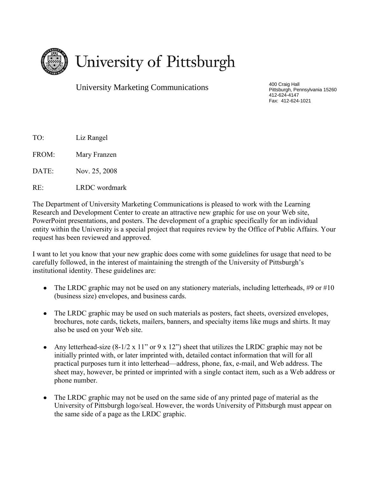

University Marketing Communications

400 Craig Hall Pittsburgh, Pennsylvania 15260 412-624-4147 Fax: 412-624-1021

TO: Liz Rangel

FROM: Mary Franzen

DATE: Nov. 25, 2008

RE: LRDC wordmark

The Department of University Marketing Communications is pleased to work with the Learning Research and Development Center to create an attractive new graphic for use on your Web site, PowerPoint presentations, and posters. The development of a graphic specifically for an individual entity within the University is a special project that requires review by the Office of Public Affairs. Your request has been reviewed and approved.

I want to let you know that your new graphic does come with some guidelines for usage that need to be carefully followed, in the interest of maintaining the strength of the University of Pittsburgh's institutional identity. These guidelines are:

- The LRDC graphic may not be used on any stationery materials, including letterheads, #9 or #10 (business size) envelopes, and business cards.
- The LRDC graphic may be used on such materials as posters, fact sheets, oversized envelopes, brochures, note cards, tickets, mailers, banners, and specialty items like mugs and shirts. It may also be used on your Web site.
- Any letterhead-size (8-1/2 x 11" or 9 x 12") sheet that utilizes the LRDC graphic may not be initially printed with, or later imprinted with, detailed contact information that will for all practical purposes turn it into letterhead—address, phone, fax, e-mail, and Web address. The sheet may, however, be printed or imprinted with a single contact item, such as a Web address or phone number.
- The LRDC graphic may not be used on the same side of any printed page of material as the University of Pittsburgh logo/seal. However, the words University of Pittsburgh must appear on the same side of a page as the LRDC graphic.